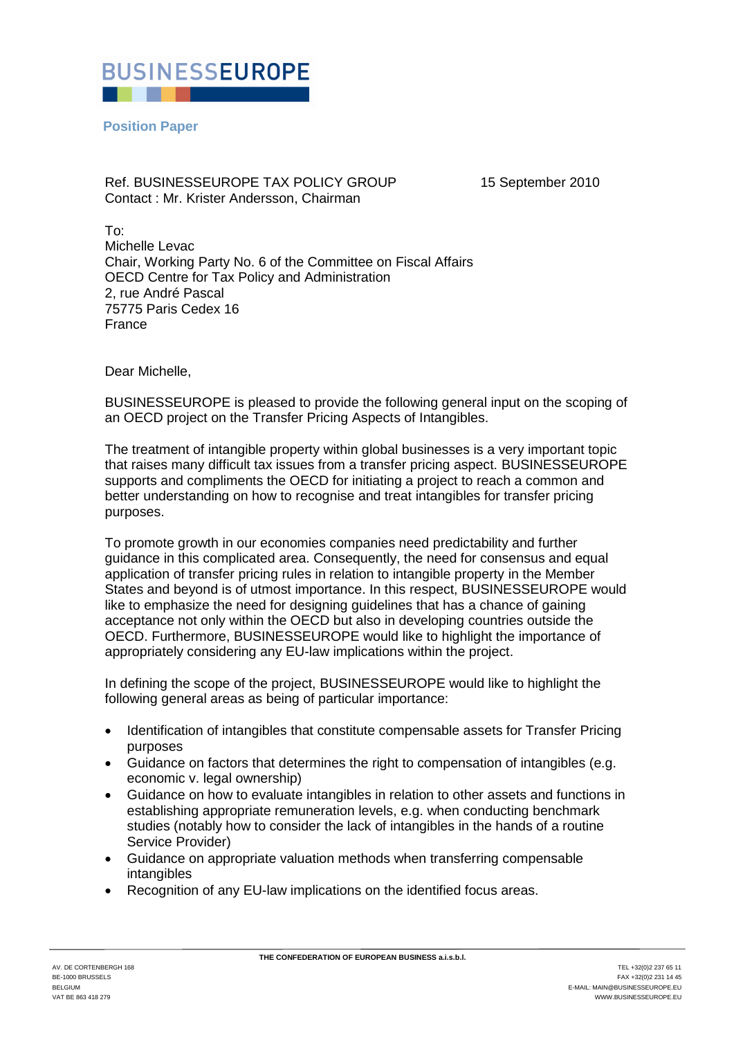

**Position Paper** 

Ref. BUSINESSEUROPE TAX POLICY GROUP 15 September 2010 Contact : Mr. Krister Andersson, Chairman

To: Michelle Levac Chair, Working Party No. 6 of the Committee on Fiscal Affairs OECD Centre for Tax Policy and Administration 2, rue André Pascal 75775 Paris Cedex 16 France

Dear Michelle,

BUSINESSEUROPE is pleased to provide the following general input on the scoping of an OECD project on the Transfer Pricing Aspects of Intangibles.

The treatment of intangible property within global businesses is a very important topic that raises many difficult tax issues from a transfer pricing aspect. BUSINESSEUROPE supports and compliments the OECD for initiating a project to reach a common and better understanding on how to recognise and treat intangibles for transfer pricing purposes.

To promote growth in our economies companies need predictability and further guidance in this complicated area. Consequently, the need for consensus and equal application of transfer pricing rules in relation to intangible property in the Member States and beyond is of utmost importance. In this respect, BUSINESSEUROPE would like to emphasize the need for designing guidelines that has a chance of gaining acceptance not only within the OECD but also in developing countries outside the OECD. Furthermore, BUSINESSEUROPE would like to highlight the importance of appropriately considering any EU-law implications within the project.

In defining the scope of the project, BUSINESSEUROPE would like to highlight the following general areas as being of particular importance:

- Identification of intangibles that constitute compensable assets for Transfer Pricing purposes
- Guidance on factors that determines the right to compensation of intangibles (e.g. economic v. legal ownership)
- Guidance on how to evaluate intangibles in relation to other assets and functions in establishing appropriate remuneration levels, e.g. when conducting benchmark studies (notably how to consider the lack of intangibles in the hands of a routine Service Provider)
- Guidance on appropriate valuation methods when transferring compensable intangibles
- Recognition of any EU-law implications on the identified focus areas.